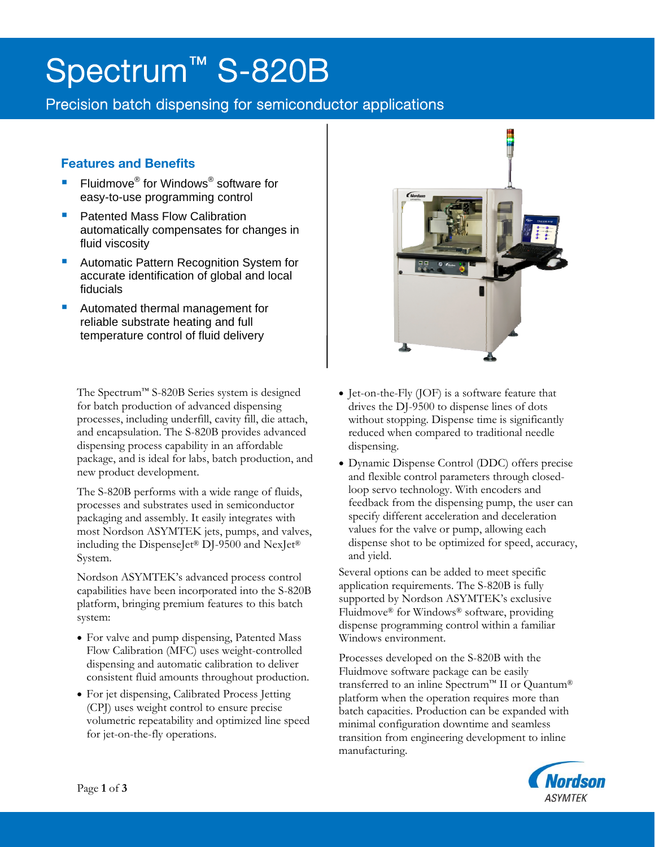# Spectrum<sup>™</sup> S-820B

Precision batch dispensing for semiconductor applications

# Features and Benefits

j

- Fluidmove® for Windows® software for easy-to-use programming control
- **Patented Mass Flow Calibration** automatically compensates for changes in fluid viscosity
- **Automatic Pattern Recognition System for** accurate identification of global and local fiducials
- Automated thermal management for reliable substrate heating and full temperature control of fluid delivery

The Spectrum™ S-820B Series system is designed for batch production of advanced dispensing processes, including underfill, cavity fill, die attach, and encapsulation. The S-820B provides advanced dispensing process capability in an affordable package, and is ideal for labs, batch production, and new product development.

The S-820B performs with a wide range of fluids, processes and substrates used in semiconductor packaging and assembly. It easily integrates with most Nordson ASYMTEK jets, pumps, and valves, including the DispenseJet® DJ-9500 and NexJet® System.

Nordson ASYMTEK's advanced process control capabilities have been incorporated into the S-820B platform, bringing premium features to this batch system:

- For valve and pump dispensing, Patented Mass Flow Calibration (MFC) uses weight-controlled dispensing and automatic calibration to deliver consistent fluid amounts throughout production.
- For jet dispensing, Calibrated Process Jetting (CPJ) uses weight control to ensure precise volumetric repeatability and optimized line speed for jet-on-the-fly operations.



- Jet-on-the-Fly (JOF) is a software feature that drives the DJ-9500 to dispense lines of dots without stopping. Dispense time is significantly reduced when compared to traditional needle dispensing.
- Dynamic Dispense Control (DDC) offers precise and flexible control parameters through closedloop servo technology. With encoders and feedback from the dispensing pump, the user can specify different acceleration and deceleration values for the valve or pump, allowing each dispense shot to be optimized for speed, accuracy, and yield.

Several options can be added to meet specific application requirements. The S-820B is fully supported by Nordson ASYMTEK's exclusive Fluidmove® for Windows® software, providing dispense programming control within a familiar Windows environment.

Processes developed on the S-820B with the Fluidmove software package can be easily transferred to an inline Spectrum™ II or Quantum® platform when the operation requires more than batch capacities. Production can be expanded with minimal configuration downtime and seamless transition from engineering development to inline manufacturing.

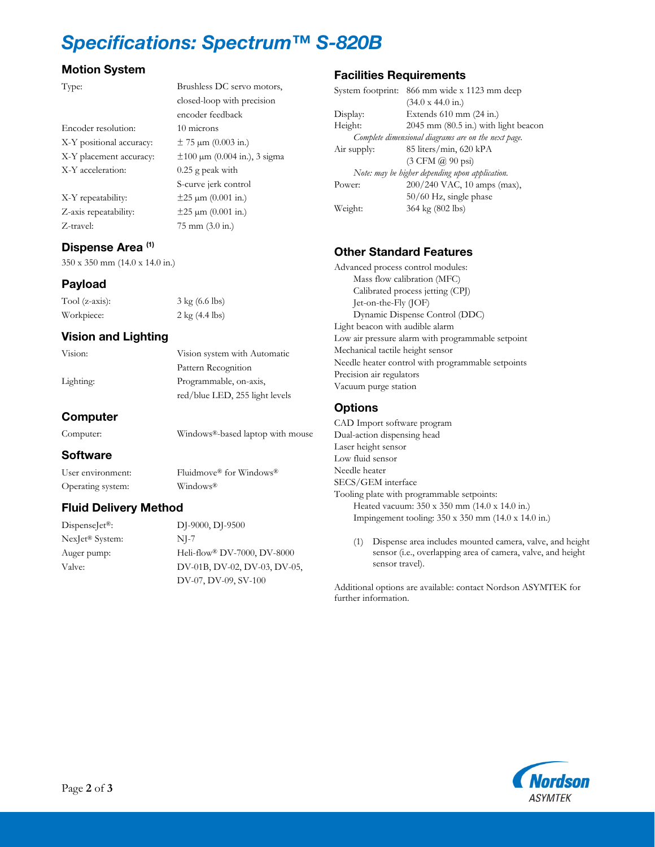# Specifications: Spectrum™ S-820B

closed-loop with precision

encoder feedback

S-curve jerk control

## Motion System

#### Type: Brushless DC servo motors,

Encoder resolution: 10 microns X-Y positional accuracy:  $\pm$  75  $\mu$ m (0.003 in.) X-Y placement accuracy:  $\pm 100 \mu m$  (0.004 in.), 3 sigma X-Y acceleration: 0.25 g peak with

 $X-Y$  repeatability:  $\pm 25 \mu m (0.001 \text{ in.})$ Z-axis repeatability:  $\pm 25 \mu m (0.001 \text{ in.})$ Z-travel: 75 mm (3.0 in.)

#### Dispense Area<sup>(1)</sup>

350 x 350 mm (14.0 x 14.0 in.)

#### Payload

Tool (z-axis): 3 kg (6.6 lbs) Workpiece: 2 kg (4.4 lbs)

#### Vision and Lighting

Vision: Vision system with Automatic Pattern Recognition Lighting: Programmable, on-axis, red/blue LED, 255 light levels

## Computer

## Computer: Windows®-based laptop with mouse

#### **Software**

User environment: Fluidmove® for Windows® Operating system: Windows®

#### Fluid Delivery Method

NexJet® System: NJ-7

DispenseJet®: DJ-9000, DJ-9500 Auger pump: Heli-flow® DV-7000, DV-8000 Valve: DV-01B, DV-02, DV-03, DV-05, DV-07, DV-09, SV-100

#### Facilities Requirements

| 866 mm wide x 1123 mm deep<br>System footprint:     |
|-----------------------------------------------------|
| (34.0 x 44.0 in.)                                   |
| Extends $610$ mm $(24$ in.)                         |
| $2045$ mm $(80.5$ in.) with light beacon            |
| Complete dimensional diagrams are on the next page. |
| 85 liters/min, 620 kPA                              |
| $(3 \text{ CFM } @$ 90 psi)                         |
| Note: may be higher depending upon application.     |
| 200/240 VAC, 10 amps (max),                         |
| 50/60 Hz, single phase                              |
| 364 kg (802 lbs)                                    |
|                                                     |

## Other Standard Features

Advanced process control modules: Mass flow calibration (MFC) Calibrated process jetting (CPJ) Jet-on-the-Fly (JOF) Dynamic Dispense Control (DDC) Light beacon with audible alarm Low air pressure alarm with programmable setpoint Mechanical tactile height sensor Needle heater control with programmable setpoints Precision air regulators Vacuum purge station

#### **Options**

CAD Import software program Dual-action dispensing head Laser height sensor Low fluid sensor Needle heater SECS/GEM interface Tooling plate with programmable setpoints: Heated vacuum: 350 x 350 mm (14.0 x 14.0 in.) Impingement tooling: 350 x 350 mm (14.0 x 14.0 in.)

(1) Dispense area includes mounted camera, valve, and height sensor (i.e., overlapping area of camera, valve, and height sensor travel).

Additional options are available: contact Nordson ASYMTEK for further information.